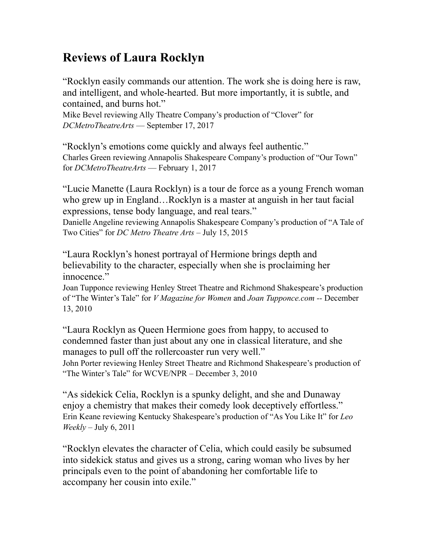## **Reviews of Laura Rocklyn**

"Rocklyn easily commands our attention. The work she is doing here is raw, and intelligent, and whole-hearted. But more importantly, it is subtle, and contained, and burns hot."

Mike Bevel reviewing Ally Theatre Company's production of "Clover" for *DCMetroTheatreArts* — September 17, 2017

"Rocklyn's emotions come quickly and always feel authentic." Charles Green reviewing Annapolis Shakespeare Company's production of "Our Town" for *DCMetroTheatreArts* — February 1, 2017

"Lucie Manette (Laura Rocklyn) is a tour de force as a young French woman who grew up in England…Rocklyn is a master at anguish in her taut facial expressions, tense body language, and real tears." Danielle Angeline reviewing Annapolis Shakespeare Company's production of "A Tale of Two Cities" for *DC Metro Theatre Arts* – July 15, 2015

"Laura Rocklyn's honest portrayal of Hermione brings depth and believability to the character, especially when she is proclaiming her innocence."

Joan Tupponce reviewing Henley Street Theatre and Richmond Shakespeare's production of "The Winter's Tale" for *V Magazine for Women* and *Joan Tupponce.com --* December 13, 2010

"Laura Rocklyn as Queen Hermione goes from happy, to accused to condemned faster than just about any one in classical literature, and she manages to pull off the rollercoaster run very well."

John Porter reviewing Henley Street Theatre and Richmond Shakespeare's production of "The Winter's Tale" for WCVE/NPR – December 3, 2010

"As sidekick Celia, Rocklyn is a spunky delight, and she and Dunaway enjoy a chemistry that makes their comedy look deceptively effortless." Erin Keane reviewing Kentucky Shakespeare's production of "As You Like It" for *Leo Weekly –* July 6, 2011

"Rocklyn elevates the character of Celia, which could easily be subsumed into sidekick status and gives us a strong, caring woman who lives by her principals even to the point of abandoning her comfortable life to accompany her cousin into exile."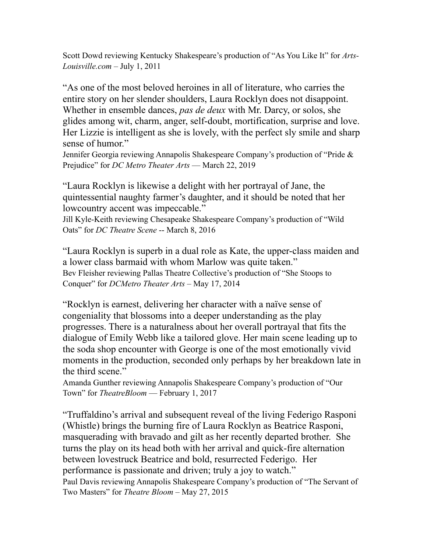Scott Dowd reviewing Kentucky Shakespeare's production of "As You Like It" for *Arts-Louisville.com –* July 1, 2011

"As one of the most beloved heroines in all of literature, who carries the entire story on her slender shoulders, Laura Rocklyn does not disappoint. Whether in ensemble dances, *pas de deux* with Mr. Darcy, or solos, she glides among wit, charm, anger, self-doubt, mortification, surprise and love. Her Lizzie is intelligent as she is lovely, with the perfect sly smile and sharp sense of humor."

Jennifer Georgia reviewing Annapolis Shakespeare Company's production of "Pride & Prejudice" for *DC Metro Theater Arts* — March 22, 2019

"Laura Rocklyn is likewise a delight with her portrayal of Jane, the quintessential naughty farmer's daughter, and it should be noted that her lowcountry accent was impeccable."

Jill Kyle-Keith reviewing Chesapeake Shakespeare Company's production of "Wild Oats" for *DC Theatre Scene* -- March 8, 2016

"Laura Rocklyn is superb in a dual role as Kate, the upper-class maiden and a lower class barmaid with whom Marlow was quite taken." Bev Fleisher reviewing Pallas Theatre Collective's production of "She Stoops to Conquer" for *DCMetro Theater Arts* – May 17, 2014

"Rocklyn is earnest, delivering her character with a naïve sense of congeniality that blossoms into a deeper understanding as the play progresses. There is a naturalness about her overall portrayal that fits the dialogue of Emily Webb like a tailored glove. Her main scene leading up to the soda shop encounter with George is one of the most emotionally vivid moments in the production, seconded only perhaps by her breakdown late in the third scene."

Amanda Gunther reviewing Annapolis Shakespeare Company's production of "Our Town" for *TheatreBloom* — February 1, 2017

"Truffaldino's arrival and subsequent reveal of the living Federigo Rasponi (Whistle) brings the burning fire of Laura Rocklyn as Beatrice Rasponi, masquerading with bravado and gilt as her recently departed brother. She turns the play on its head both with her arrival and quick-fire alternation between lovestruck Beatrice and bold, resurrected Federigo. Her performance is passionate and driven; truly a joy to watch." Paul Davis reviewing Annapolis Shakespeare Company's production of "The Servant of Two Masters" for *Theatre Bloom* – May 27, 2015